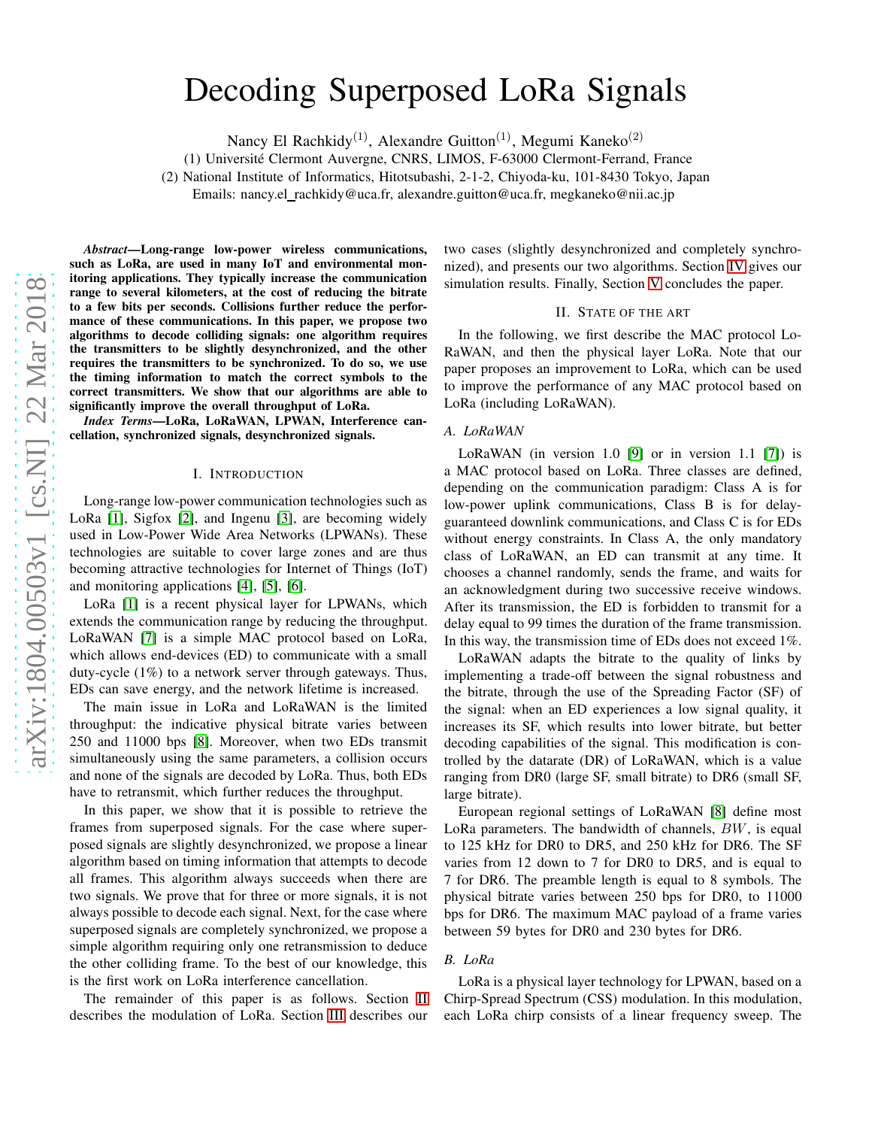# Decoding Superposed LoRa Signals

Nancy El Rachkidy<sup>(1)</sup>, Alexandre Guitton<sup>(1)</sup>, Megumi Kaneko<sup>(2)</sup>

(1) Universit´e Clermont Auvergne, CNRS, LIMOS, F-63000 Clermont-Ferrand, France

(2) National Institute of Informatics, Hitotsubashi, 2-1-2, Chiyoda-ku, 101-8430 Tokyo, Japan

Emails: nancy.el\_rachkidy@uca.fr, alexandre.guitton@uca.fr, megkaneko@nii.ac.jp

*Abstract*—Long-range low-power wireless communications, such as LoRa, are used in many IoT and environmental monitoring applications. They typically increase the communication range to several kilometers, at the cost of reducing the bitrate to a few bits per seconds. Collisions further reduce the performance of these communications. In this paper, we propose two algorithms to decode colliding signals: one algorithm requires the transmitters to be slightly desynchronized, and the other requires the transmitters to be synchronized. To do so, we use the timing information to match the correct symbols to the correct transmitters. We show that our algorithms are able to significantly improve the overall throughput of LoRa.

*Index Terms*—LoRa, LoRaWAN, LPWAN, Interference cancellation, synchronized signals, desynchronized signals.

#### I. INTRODUCTION

Long-range low-power communication technologies such as LoRa [\[1\]](#page-6-0), Sigfox [\[2\]](#page-6-1), and Ingenu [\[3\]](#page-6-2), are becoming widely used in Low-Power Wide Area Networks (LPWANs). These technologies are suitable to cover large zones and are thus becoming attractive technologies for Internet of Things (IoT) and monitoring applications [\[4\]](#page-6-3), [\[5\]](#page-6-4), [\[6\]](#page-6-5).

LoRa [\[1\]](#page-6-0) is a recent physical layer for LPWANs, which extends the communication range by reducing the throughput. LoRaWAN [\[7\]](#page-6-6) is a simple MAC protocol based on LoRa, which allows end-devices (ED) to communicate with a small duty-cycle (1%) to a network server through gateways. Thus, EDs can save energy, and the network lifetime is increased.

The main issue in LoRa and LoRaWAN is the limited throughput: the indicative physical bitrate varies between 250 and 11000 bps [\[8\]](#page-6-7). Moreover, when two EDs transmit simultaneously using the same parameters, a collision occurs and none of the signals are decoded by LoRa. Thus, both EDs have to retransmit, which further reduces the throughput.

In this paper, we show that it is possible to retrieve the frames from superposed signals. For the case where superposed signals are slightly desynchronized, we propose a linear algorithm based on timing information that attempts to decode all frames. This algorithm always succeeds when there are two signals. We prove that for three or more signals, it is not always possible to decode each signal. Next, for the case where superposed signals are completely synchronized, we propose a simple algorithm requiring only one retransmission to deduce the other colliding frame. To the best of our knowledge, this is the first work on LoRa interference cancellation.

The remainder of this paper is as follows. Section [II](#page-0-0) describes the modulation of LoRa. Section [III](#page-1-0) describes our two cases (slightly desynchronized and completely synchronized), and presents our two algorithms. Section [IV](#page-4-0) gives our simulation results. Finally, Section [V](#page-5-0) concludes the paper.

## II. STATE OF THE ART

<span id="page-0-0"></span>In the following, we first describe the MAC protocol Lo-RaWAN, and then the physical layer LoRa. Note that our paper proposes an improvement to LoRa, which can be used to improve the performance of any MAC protocol based on LoRa (including LoRaWAN).

## *A. LoRaWAN*

LoRaWAN (in version 1.0 [\[9\]](#page-6-8) or in version 1.1 [\[7\]](#page-6-6)) is a MAC protocol based on LoRa. Three classes are defined, depending on the communication paradigm: Class A is for low-power uplink communications, Class B is for delayguaranteed downlink communications, and Class C is for EDs without energy constraints. In Class A, the only mandatory class of LoRaWAN, an ED can transmit at any time. It chooses a channel randomly, sends the frame, and waits for an acknowledgment during two successive receive windows. After its transmission, the ED is forbidden to transmit for a delay equal to 99 times the duration of the frame transmission. In this way, the transmission time of EDs does not exceed 1%.

LoRaWAN adapts the bitrate to the quality of links by implementing a trade-off between the signal robustness and the bitrate, through the use of the Spreading Factor (SF) of the signal: when an ED experiences a low signal quality, it increases its SF, which results into lower bitrate, but better decoding capabilities of the signal. This modification is controlled by the datarate (DR) of LoRaWAN, which is a value ranging from DR0 (large SF, small bitrate) to DR6 (small SF, large bitrate).

European regional settings of LoRaWAN [\[8\]](#page-6-7) define most LoRa parameters. The bandwidth of channels, BW, is equal to 125 kHz for DR0 to DR5, and 250 kHz for DR6. The SF varies from 12 down to 7 for DR0 to DR5, and is equal to 7 for DR6. The preamble length is equal to 8 symbols. The physical bitrate varies between 250 bps for DR0, to 11000 bps for DR6. The maximum MAC payload of a frame varies between 59 bytes for DR0 and 230 bytes for DR6.

#### *B. LoRa*

LoRa is a physical layer technology for LPWAN, based on a Chirp-Spread Spectrum (CSS) modulation. In this modulation, each LoRa chirp consists of a linear frequency sweep. The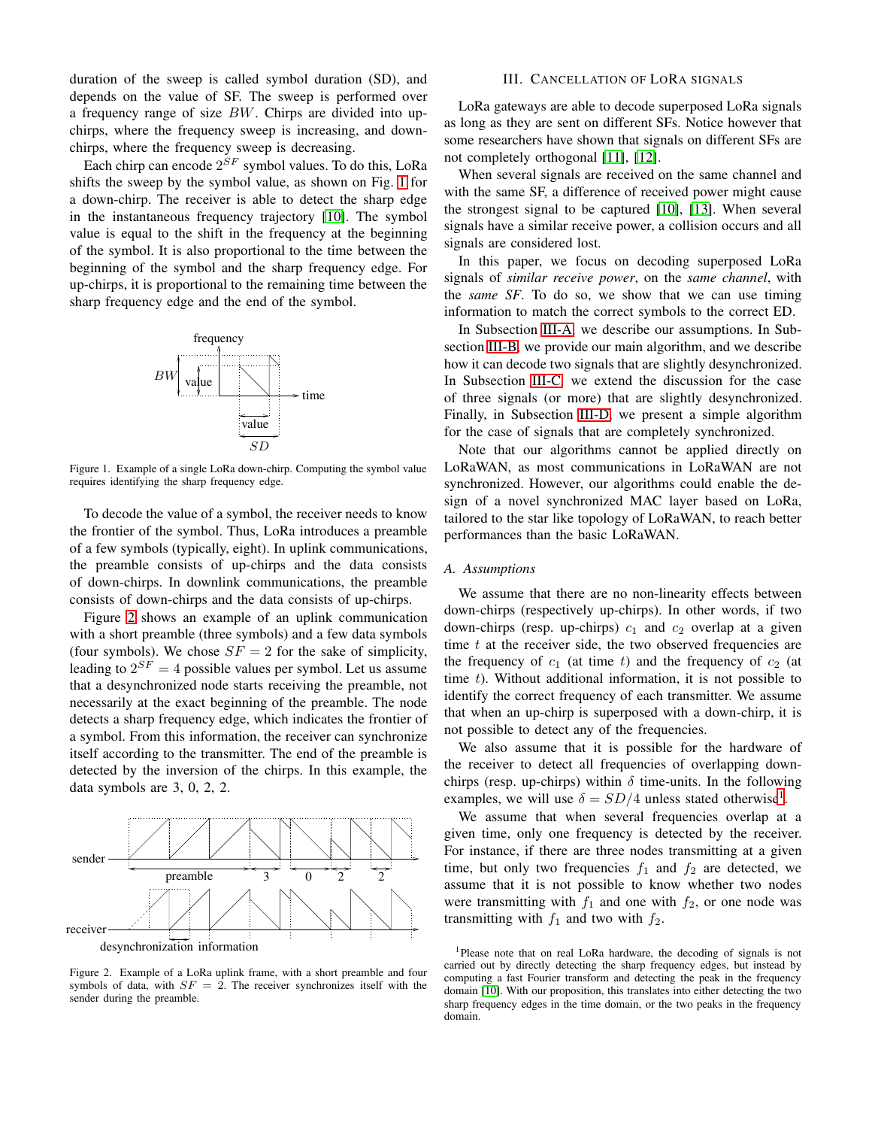duration of the sweep is called symbol duration (SD), and depends on the value of SF. The sweep is performed over a frequency range of size BW. Chirps are divided into upchirps, where the frequency sweep is increasing, and downchirps, where the frequency sweep is decreasing.

Each chirp can encode  $2^{SF}$  symbol values. To do this, LoRa shifts the sweep by the symbol value, as shown on Fig. [1](#page-1-1) for a down-chirp. The receiver is able to detect the sharp edge in the instantaneous frequency trajectory [\[10\]](#page-6-9). The symbol value is equal to the shift in the frequency at the beginning of the symbol. It is also proportional to the time between the beginning of the symbol and the sharp frequency edge. For up-chirps, it is proportional to the remaining time between the sharp frequency edge and the end of the symbol.



<span id="page-1-1"></span>Figure 1. Example of a single LoRa down-chirp. Computing the symbol value requires identifying the sharp frequency edge.

To decode the value of a symbol, the receiver needs to know the frontier of the symbol. Thus, LoRa introduces a preamble of a few symbols (typically, eight). In uplink communications, the preamble consists of up-chirps and the data consists of down-chirps. In downlink communications, the preamble consists of down-chirps and the data consists of up-chirps.

Figure [2](#page-1-2) shows an example of an uplink communication with a short preamble (three symbols) and a few data symbols (four symbols). We chose  $SF = 2$  for the sake of simplicity, leading to  $2^{SF} = 4$  possible values per symbol. Let us assume that a desynchronized node starts receiving the preamble, not necessarily at the exact beginning of the preamble. The node detects a sharp frequency edge, which indicates the frontier of a symbol. From this information, the receiver can synchronize itself according to the transmitter. The end of the preamble is detected by the inversion of the chirps. In this example, the data symbols are 3, 0, 2, 2.





<span id="page-1-2"></span>Figure 2. Example of a LoRa uplink frame, with a short preamble and four symbols of data, with  $SF = 2$ . The receiver synchronizes itself with the sender during the preamble.

#### III. CANCELLATION OF LORA SIGNALS

<span id="page-1-0"></span>LoRa gateways are able to decode superposed LoRa signals as long as they are sent on different SFs. Notice however that some researchers have shown that signals on different SFs are not completely orthogonal [\[11\]](#page-6-10), [\[12\]](#page-6-11).

When several signals are received on the same channel and with the same SF, a difference of received power might cause the strongest signal to be captured [\[10\]](#page-6-9), [\[13\]](#page-6-12). When several signals have a similar receive power, a collision occurs and all signals are considered lost.

In this paper, we focus on decoding superposed LoRa signals of *similar receive power*, on the *same channel*, with the *same SF*. To do so, we show that we can use timing information to match the correct symbols to the correct ED.

In Subsection [III-A,](#page-1-3) we describe our assumptions. In Subsection [III-B,](#page-2-0) we provide our main algorithm, and we describe how it can decode two signals that are slightly desynchronized. In Subsection [III-C,](#page-3-0) we extend the discussion for the case of three signals (or more) that are slightly desynchronized. Finally, in Subsection [III-D,](#page-4-1) we present a simple algorithm for the case of signals that are completely synchronized.

Note that our algorithms cannot be applied directly on LoRaWAN, as most communications in LoRaWAN are not synchronized. However, our algorithms could enable the design of a novel synchronized MAC layer based on LoRa, tailored to the star like topology of LoRaWAN, to reach better performances than the basic LoRaWAN.

#### <span id="page-1-3"></span>*A. Assumptions*

We assume that there are no non-linearity effects between down-chirps (respectively up-chirps). In other words, if two down-chirps (resp. up-chirps)  $c_1$  and  $c_2$  overlap at a given time  $t$  at the receiver side, the two observed frequencies are the frequency of  $c_1$  (at time t) and the frequency of  $c_2$  (at time  $t$ ). Without additional information, it is not possible to identify the correct frequency of each transmitter. We assume that when an up-chirp is superposed with a down-chirp, it is not possible to detect any of the frequencies.

We also assume that it is possible for the hardware of the receiver to detect all frequencies of overlapping downchirps (resp. up-chirps) within  $\delta$  time-units. In the following examples, we will use  $\delta = SD/4$  unless stated otherwise<sup>[1](#page-1-4)</sup>.

We assume that when several frequencies overlap at a given time, only one frequency is detected by the receiver. For instance, if there are three nodes transmitting at a given time, but only two frequencies  $f_1$  and  $f_2$  are detected, we assume that it is not possible to know whether two nodes were transmitting with  $f_1$  and one with  $f_2$ , or one node was transmitting with  $f_1$  and two with  $f_2$ .

<span id="page-1-4"></span><sup>1</sup>Please note that on real LoRa hardware, the decoding of signals is not carried out by directly detecting the sharp frequency edges, but instead by computing a fast Fourier transform and detecting the peak in the frequency domain [\[10\]](#page-6-9). With our proposition, this translates into either detecting the two sharp frequency edges in the time domain, or the two peaks in the frequency domain.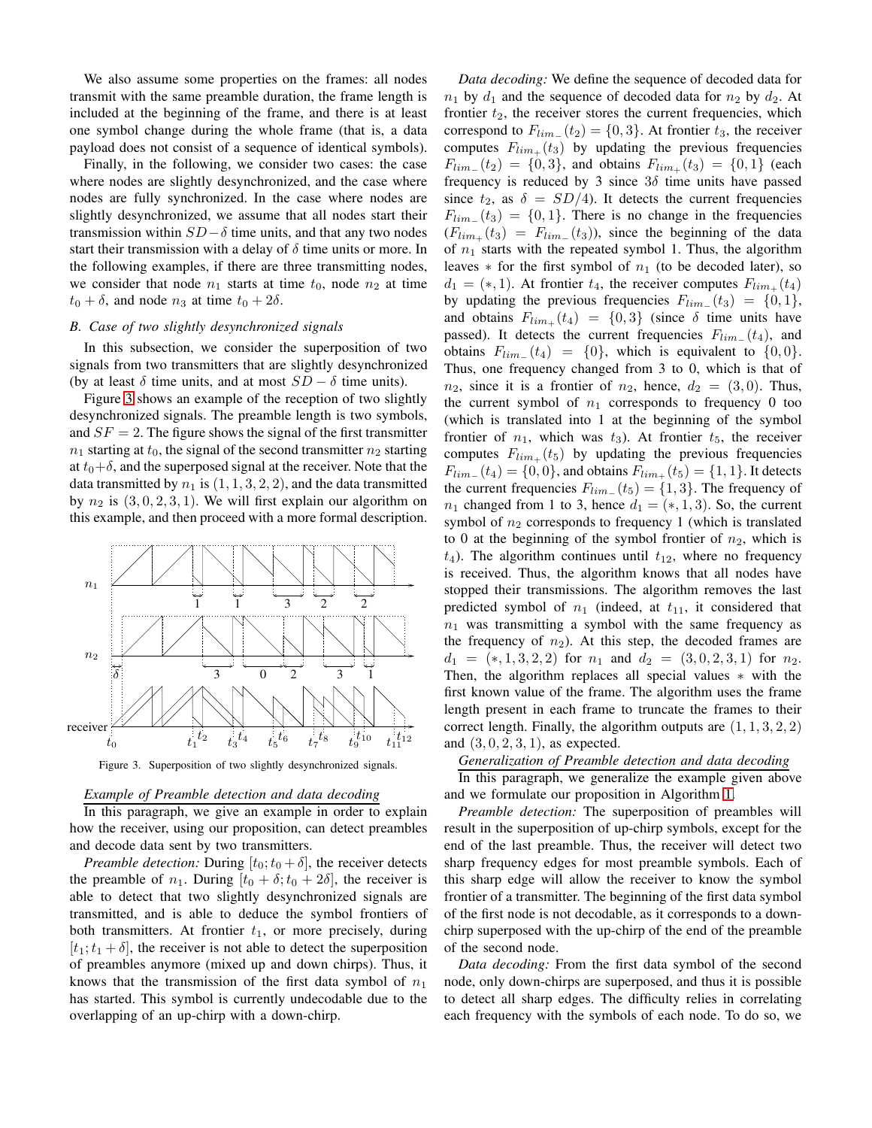We also assume some properties on the frames: all nodes transmit with the same preamble duration, the frame length is included at the beginning of the frame, and there is at least one symbol change during the whole frame (that is, a data payload does not consist of a sequence of identical symbols).

Finally, in the following, we consider two cases: the case where nodes are slightly desynchronized, and the case where nodes are fully synchronized. In the case where nodes are slightly desynchronized, we assume that all nodes start their transmission within  $SD-\delta$  time units, and that any two nodes start their transmission with a delay of  $\delta$  time units or more. In the following examples, if there are three transmitting nodes, we consider that node  $n_1$  starts at time  $t_0$ , node  $n_2$  at time  $t_0 + \delta$ , and node  $n_3$  at time  $t_0 + 2\delta$ .

## <span id="page-2-0"></span>*B. Case of two slightly desynchronized signals*

In this subsection, we consider the superposition of two signals from two transmitters that are slightly desynchronized replacements and at most  $SD - \delta$  time units).

> Figure [3](#page-2-1) shows an example of the reception of two slightly desynchronized signals. The preamble length is two symbols, and  $SF = 2$ . The figure shows the signal of the first transmitter  $n_1$  starting at  $t_0$ , the signal of the second transmitter  $n_2$  starting at  $t_0+\delta$ , and the superposed signal at the receiver. Note that the data transmitted by  $n_1$  is  $(1, 1, 3, 2, 2)$ , and the data transmitted by  $n_2$  is  $(3, 0, 2, 3, 1)$ . We will first explain our algorithm on this example, and then proceed with a more formal description.



<span id="page-2-1"></span>Figure 3. Superposition of two slightly desynchronized signals.

# *Example of Preamble detection and data decoding*

In this paragraph, we give an example in order to explain how the receiver, using our proposition, can detect preambles and decode data sent by two transmitters.

*Preamble detection:* During  $[t_0; t_0 + \delta]$ , the receiver detects the preamble of  $n_1$ . During  $[t_0 + \delta; t_0 + 2\delta]$ , the receiver is able to detect that two slightly desynchronized signals are transmitted, and is able to deduce the symbol frontiers of both transmitters. At frontier  $t_1$ , or more precisely, during  $[t_1; t_1 + \delta]$ , the receiver is not able to detect the superposition of preambles anymore (mixed up and down chirps). Thus, it knows that the transmission of the first data symbol of  $n_1$ has started. This symbol is currently undecodable due to the overlapping of an up-chirp with a down-chirp.

*Data decoding:* We define the sequence of decoded data for  $n_1$  by  $d_1$  and the sequence of decoded data for  $n_2$  by  $d_2$ . At frontier  $t_2$ , the receiver stores the current frequencies, which correspond to  $F_{lim}(t_2) = \{0,3\}$ . At frontier  $t_3$ , the receiver computes  $F_{lim_{+}}(t_3)$  by updating the previous frequencies  $F_{lim_{-}}(t_2) = \{0,3\}$ , and obtains  $F_{lim_{+}}(t_3) = \{0,1\}$  (each frequency is reduced by 3 since  $3\delta$  time units have passed since  $t_2$ , as  $\delta = SD/4$ ). It detects the current frequencies  $F_{lim}(t_3) = \{0, 1\}$ . There is no change in the frequencies  $(F_{lim_+}(t_3) = F_{lim_-}(t_3))$ , since the beginning of the data of  $n_1$  starts with the repeated symbol 1. Thus, the algorithm leaves  $*$  for the first symbol of  $n_1$  (to be decoded later), so  $d_1 = (*, 1)$ . At frontier  $t_4$ , the receiver computes  $F_{lim_{+}}(t_4)$ by updating the previous frequencies  $F_{lim}(t_3) = \{0, 1\}$ , and obtains  $F_{lim_{+}}(t_4) = \{0,3\}$  (since  $\delta$  time units have passed). It detects the current frequencies  $F_{lim}(t_4)$ , and obtains  $F_{lim}(t_4) = \{0\}$ , which is equivalent to  $\{0,0\}$ . Thus, one frequency changed from 3 to 0, which is that of  $n_2$ , since it is a frontier of  $n_2$ , hence,  $d_2 = (3, 0)$ . Thus, the current symbol of  $n_1$  corresponds to frequency 0 too (which is translated into 1 at the beginning of the symbol frontier of  $n_1$ , which was  $t_3$ ). At frontier  $t_5$ , the receiver computes  $F_{lim_{+}}(t_{5})$  by updating the previous frequencies  $F_{lim_{-}}(t_4) = \{0,0\}$ , and obtains  $F_{lim_{+}}(t_5) = \{1,1\}$ . It detects the current frequencies  $F_{lim}(t_5) = \{1,3\}$ . The frequency of  $n_1$  changed from 1 to 3, hence  $d_1 = (*, 1, 3)$ . So, the current symbol of  $n_2$  corresponds to frequency 1 (which is translated to 0 at the beginning of the symbol frontier of  $n_2$ , which is  $t_4$ ). The algorithm continues until  $t_{12}$ , where no frequency is received. Thus, the algorithm knows that all nodes have stopped their transmissions. The algorithm removes the last predicted symbol of  $n_1$  (indeed, at  $t_{11}$ , it considered that  $n_1$  was transmitting a symbol with the same frequency as the frequency of  $n_2$ ). At this step, the decoded frames are  $d_1 = (*, 1, 3, 2, 2)$  for  $n_1$  and  $d_2 = (3, 0, 2, 3, 1)$  for  $n_2$ . Then, the algorithm replaces all special values ∗ with the first known value of the frame. The algorithm uses the frame length present in each frame to truncate the frames to their correct length. Finally, the algorithm outputs are  $(1, 1, 3, 2, 2)$ and  $(3, 0, 2, 3, 1)$ , as expected.

## *Generalization of Preamble detection and data decoding*

In this paragraph, we generalize the example given above and we formulate our proposition in Algorithm [1.](#page-3-1)

*Preamble detection:* The superposition of preambles will result in the superposition of up-chirp symbols, except for the end of the last preamble. Thus, the receiver will detect two sharp frequency edges for most preamble symbols. Each of this sharp edge will allow the receiver to know the symbol frontier of a transmitter. The beginning of the first data symbol of the first node is not decodable, as it corresponds to a downchirp superposed with the up-chirp of the end of the preamble of the second node.

*Data decoding:* From the first data symbol of the second node, only down-chirps are superposed, and thus it is possible to detect all sharp edges. The difficulty relies in correlating each frequency with the symbols of each node. To do so, we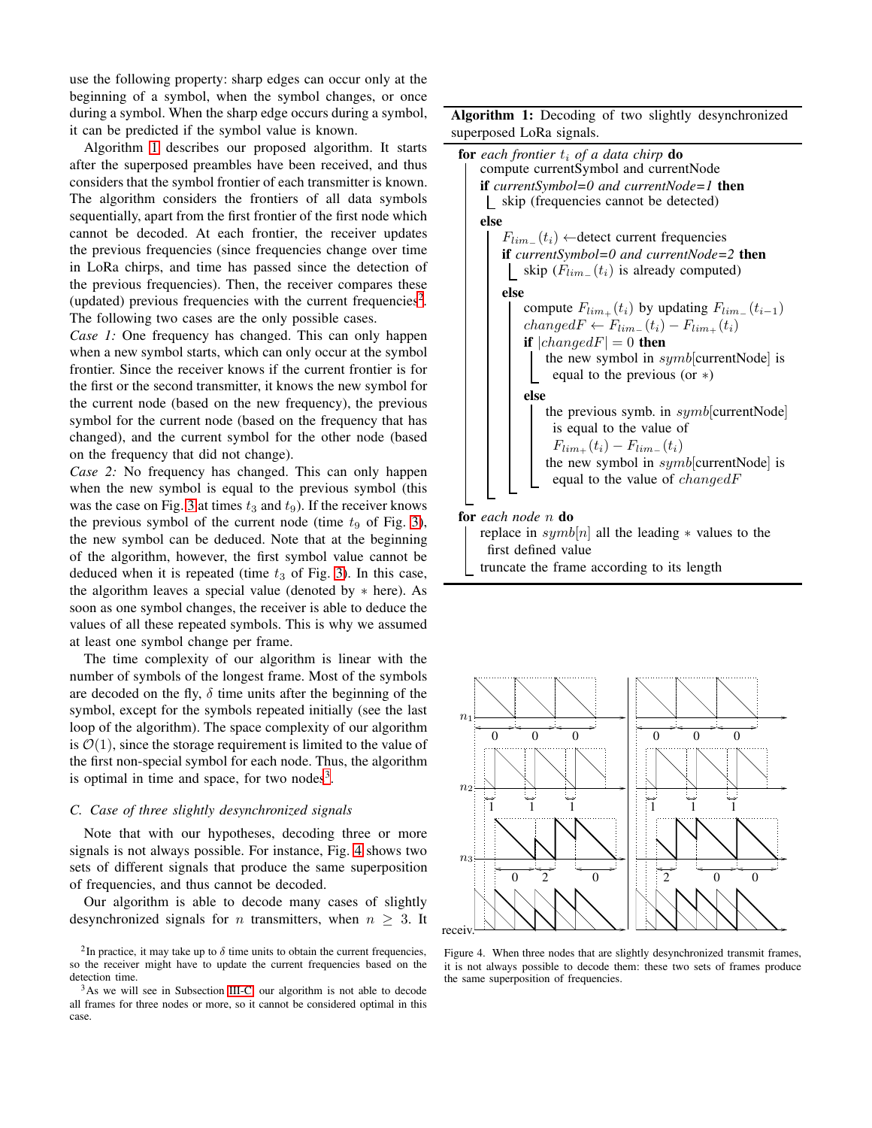use the following property: sharp edges can occur only at the beginning of a symbol, when the symbol changes, or once during a symbol. When the sharp edge occurs during a symbol, it can be predicted if the symbol value is known.

Algorithm [1](#page-3-1) describes our proposed algorithm. It starts after the superposed preambles have been received, and thus considers that the symbol frontier of each transmitter is known. The algorithm considers the frontiers of all data symbols sequentially, apart from the first frontier of the first node which cannot be decoded. At each frontier, the receiver updates the previous frequencies (since frequencies change over time in LoRa chirps, and time has passed since the detection of the previous frequencies). Then, the receiver compares these (updated) previous frequencies with the current frequencies<sup>[2](#page-3-2)</sup>. The following two cases are the only possible cases.

*Case 1:* One frequency has changed. This can only happen when a new symbol starts, which can only occur at the symbol frontier. Since the receiver knows if the current frontier is for the first or the second transmitter, it knows the new symbol for the current node (based on the new frequency), the previous symbol for the current node (based on the frequency that has changed), and the current symbol for the other node (based on the frequency that did not change).

*Case 2:* No frequency has changed. This can only happen when the new symbol is equal to the previous symbol (this was the case on Fig. [3](#page-2-1) at times  $t_3$  and  $t_9$ ). If the receiver knows the previous symbol of the current node (time  $t_9$  of Fig. [3\)](#page-2-1), the new symbol can be deduced. Note that at the beginning of the algorithm, however, the first symbol value cannot be deduced when it is repeated (time  $t_3$  of Fig. [3\)](#page-2-1). In this case, the algorithm leaves a special value (denoted by ∗ here). As soon as one symbol changes, the receiver is able to deduce the values of all these repeated symbols. This is why we assumed at least one symbol change per frame.

The time complexity of our algorithm is linear with the number of symbols of the longest frame. Most of the symbols are decoded on the fly,  $\delta$  time units after the beginning of the symbol, except for the symbols repeated initially (see the last loop of the algorithm). The space complexity of our algorithm is  $\mathcal{O}(1)$ , since the storage requirement is limited to the value of the first non-special symbol for each node. Thus, the algorithm is optimal in time and space, for two nodes $3$ . PSfrag replacements  $n_2$ 

#### <span id="page-3-0"></span>*C. Case of three slightly desynchronized signals*

Note that with our hypotheses, decoding three or more signals is not always possible. For instance, Fig. [4](#page-3-4) shows two sets of different signals that produce the same superposition of frequencies, and thus cannot be decoded.

Our algorithm is able to decode many cases of slightly desynchronized signals for *n* transmitters, when  $n \geq 3$ . It

Algorithm 1: Decoding of two slightly desynchronized superposed LoRa signals.



<span id="page-3-1"></span>replace in  $symb[n]$  all the leading  $*$  values to the first defined value truncate the frame according to its length



<span id="page-3-4"></span>Figure 4. When three nodes that are slightly desynchronized transmit frames, it is not always possible to decode them: these two sets of frames produce the same superposition of frequencies.

<span id="page-3-2"></span><sup>&</sup>lt;sup>2</sup>In practice, it may take up to  $\delta$  time units to obtain the current frequencies, so the receiver might have to update the current frequencies based on the detection time.

<span id="page-3-3"></span><sup>&</sup>lt;sup>3</sup>As we will see in Subsection [III-C,](#page-3-0) our algorithm is not able to decode all frames for three nodes or more, so it cannot be considered optimal in this case.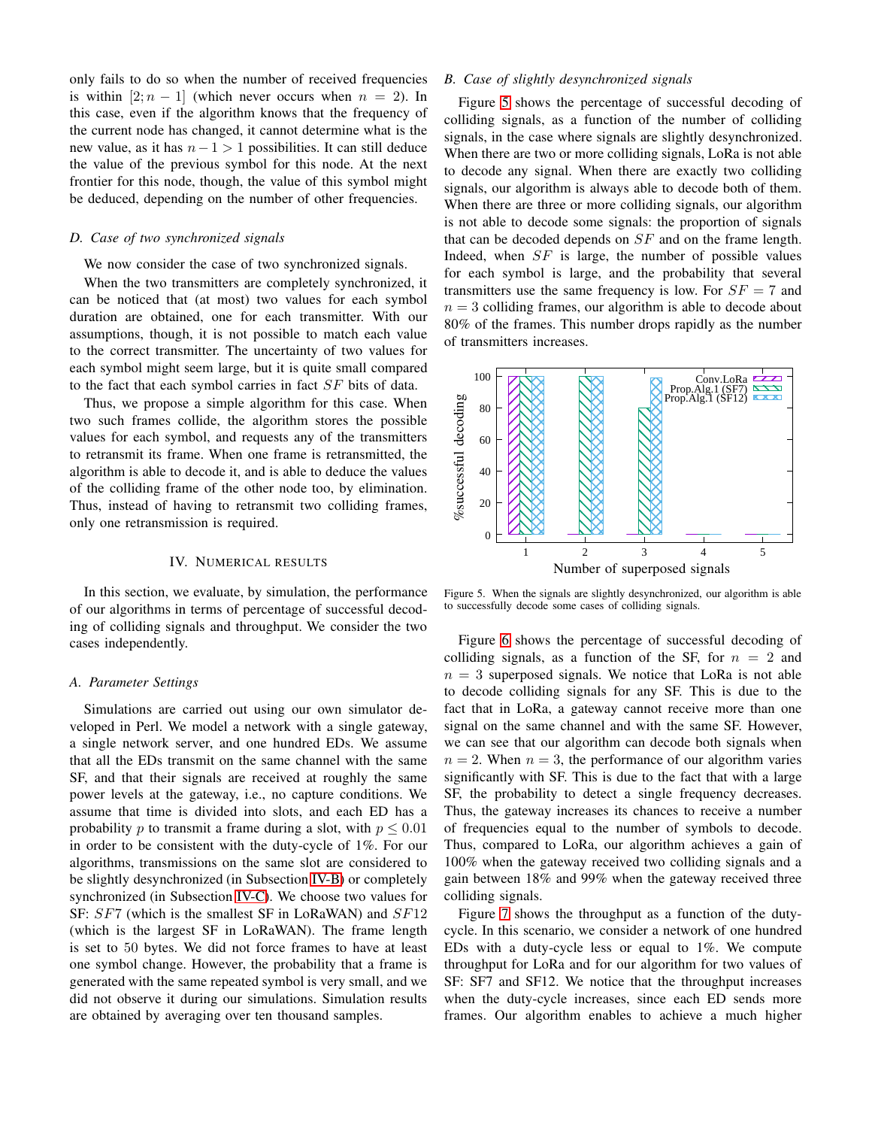only fails to do so when the number of received frequencies is within  $[2; n - 1]$  (which never occurs when  $n = 2$ ). In this case, even if the algorithm knows that the frequency of the current node has changed, it cannot determine what is the new value, as it has  $n-1 > 1$  possibilities. It can still deduce the value of the previous symbol for this node. At the next frontier for this node, though, the value of this symbol might be deduced, depending on the number of other frequencies.

## <span id="page-4-1"></span>*D. Case of two synchronized signals*

We now consider the case of two synchronized signals.

When the two transmitters are completely synchronized, it can be noticed that (at most) two values for each symbol duration are obtained, one for each transmitter. With our assumptions, though, it is not possible to match each value to the correct transmitter. The uncertainty of two values for each symbol might seem large, but it is quite small compared to the fact that each symbol carries in fact SF bits of data.

Thus, we propose a simple algorithm for this case. When two such frames collide, the algorithm stores the possible values for each symbol, and requests any of the transmitters to retransmit its frame. When one frame is retransmitted, the algorithm is able to decode it, and is able to deduce the values of the colliding frame of the other node too, by elimination. Thus, instead of having to retransmit two colliding frames, only one retransmission is required. PSfrag replacements

## IV. NUMERICAL RESULTS

<span id="page-4-0"></span>In this section, we evaluate, by simulation, the performance of our algorithms in terms of percentage of successful decoding of colliding signals and throughput. We consider the two cases independently.

#### *A. Parameter Settings*

Simulations are carried out using our own simulator developed in Perl. We model a network with a single gateway, a single network server, and one hundred EDs. We assume that all the EDs transmit on the same channel with the same SF, and that their signals are received at roughly the same power levels at the gateway, i.e., no capture conditions. We assume that time is divided into slots, and each ED has a probability p to transmit a frame during a slot, with  $p \leq 0.01$ in order to be consistent with the duty-cycle of 1%. For our algorithms, transmissions on the same slot are considered to be slightly desynchronized (in Subsection [IV-B\)](#page-4-2) or completely synchronized (in Subsection [IV-C\)](#page-5-1). We choose two values for SF: SF7 (which is the smallest SF in LoRaWAN) and SF12 (which is the largest SF in LoRaWAN). The frame length is set to 50 bytes. We did not force frames to have at least one symbol change. However, the probability that a frame is generated with the same repeated symbol is very small, and we did not observe it during our simulations. Simulation results are obtained by averaging over ten thousand samples.

## <span id="page-4-2"></span>*B. Case of slightly desynchronized signals*

Figure [5](#page-4-3) shows the percentage of successful decoding of colliding signals, as a function of the number of colliding signals, in the case where signals are slightly desynchronized. When there are two or more colliding signals, LoRa is not able to decode any signal. When there are exactly two colliding signals, our algorithm is always able to decode both of them. When there are three or more colliding signals, our algorithm is not able to decode some signals: the proportion of signals that can be decoded depends on  $SF$  and on the frame length. Indeed, when  $SF$  is large, the number of possible values for each symbol is large, and the probability that several transmitters use the same frequency is low. For  $SF = 7$  and  $n = 3$  colliding frames, our algorithm is able to decode about 80% of the frames. This number drops rapidly as the number of transmitters increases.



<span id="page-4-3"></span>Figure 5. When the signals are slightly desynchronized, our algorithm is able to successfully decode some cases of colliding signals.

Figure [6](#page-5-2) shows the percentage of successful decoding of colliding signals, as a function of the SF, for  $n = 2$  and  $n = 3$  superposed signals. We notice that LoRa is not able to decode colliding signals for any SF. This is due to the fact that in LoRa, a gateway cannot receive more than one signal on the same channel and with the same SF. However, we can see that our algorithm can decode both signals when  $n = 2$ . When  $n = 3$ , the performance of our algorithm varies significantly with SF. This is due to the fact that with a large SF, the probability to detect a single frequency decreases. Thus, the gateway increases its chances to receive a number of frequencies equal to the number of symbols to decode. Thus, compared to LoRa, our algorithm achieves a gain of 100% when the gateway received two colliding signals and a gain between 18% and 99% when the gateway received three colliding signals.

Figure [7](#page-5-3) shows the throughput as a function of the dutycycle. In this scenario, we consider a network of one hundred EDs with a duty-cycle less or equal to 1%. We compute throughput for LoRa and for our algorithm for two values of SF: SF7 and SF12. We notice that the throughput increases when the duty-cycle increases, since each ED sends more frames. Our algorithm enables to achieve a much higher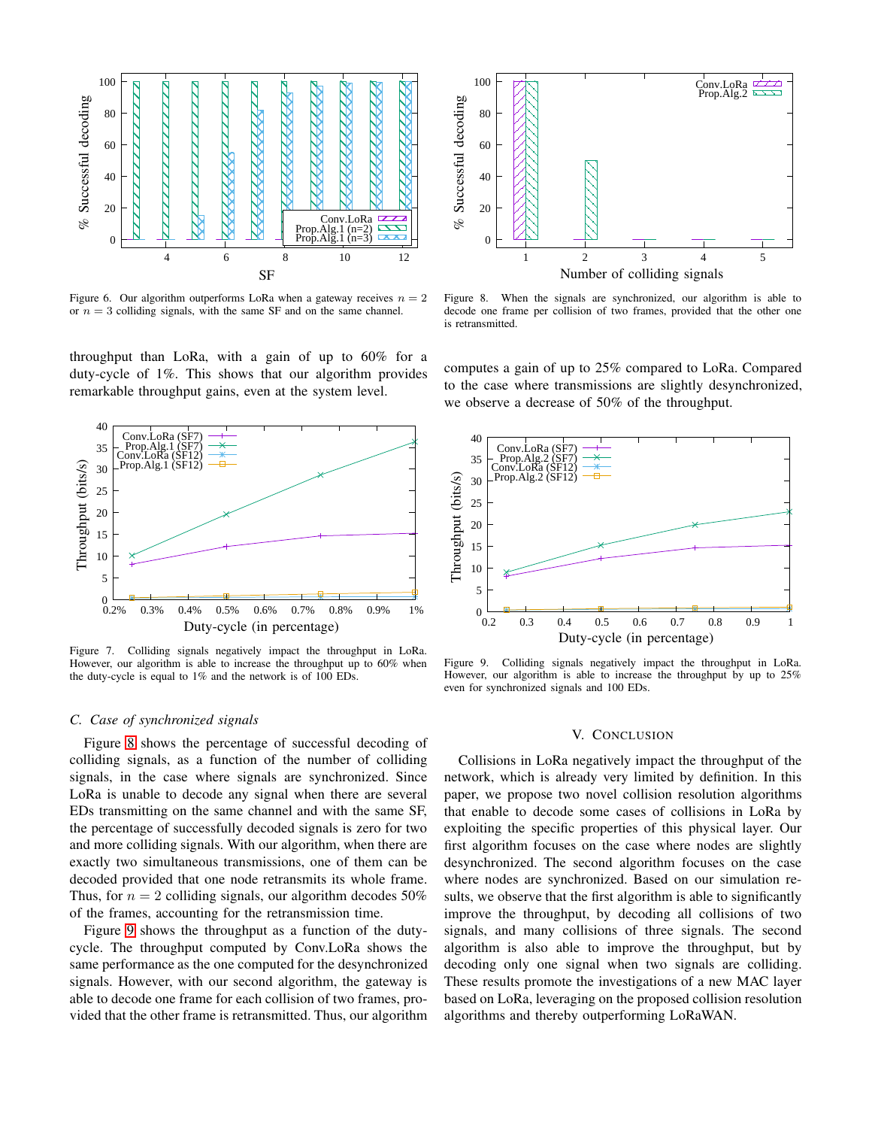

<span id="page-5-2"></span>Figure 6. Our algorithm outperforms LoRa when a gateway receives  $n = 2$ or  $n = 3$  colliding signals, with the same SF and on the same channel.

<span id="page-5-4"></span>Figure 8. When the signals are synchronized, our algorithm is able to decode one frame per collision of two frames, provided that the other one is retransmitted.

throughput than LoRa, with a gain of up to 60% for a duty-cycle of 1%. This shows that our algorithm provides remarkable throughput gains, even at the system level.



<span id="page-5-3"></span>Figure 7. Colliding signals negatively impact the throughput in LoRa. However, our algorithm is able to increase the throughput up to 60% when the duty-cycle is equal to 1% and the network is of 100 EDs.

#### <span id="page-5-1"></span>*C. Case of synchronized signals*

Figure [8](#page-5-4) shows the percentage of successful decoding of colliding signals, as a function of the number of colliding signals, in the case where signals are synchronized. Since LoRa is unable to decode any signal when there are several EDs transmitting on the same channel and with the same SF, the percentage of successfully decoded signals is zero for two and more colliding signals. With our algorithm, when there are exactly two simultaneous transmissions, one of them can be decoded provided that one node retransmits its whole frame. Thus, for  $n = 2$  colliding signals, our algorithm decodes 50% of the frames, accounting for the retransmission time.

Figure [9](#page-5-5) shows the throughput as a function of the dutycycle. The throughput computed by Conv.LoRa shows the same performance as the one computed for the desynchronized signals. However, with our second algorithm, the gateway is able to decode one frame for each collision of two frames, provided that the other frame is retransmitted. Thus, our algorithm computes a gain of up to 25% compared to LoRa. Compared to the case where transmissions are slightly desynchronized, we observe a decrease of 50% of the throughput.



<span id="page-5-5"></span>Figure 9. Colliding signals negatively impact the throughput in LoRa. However, our algorithm is able to increase the throughput by up to 25% even for synchronized signals and 100 EDs.

#### V. CONCLUSION

<span id="page-5-0"></span>Collisions in LoRa negatively impact the throughput of the network, which is already very limited by definition. In this paper, we propose two novel collision resolution algorithms that enable to decode some cases of collisions in LoRa by exploiting the specific properties of this physical layer. Our first algorithm focuses on the case where nodes are slightly desynchronized. The second algorithm focuses on the case where nodes are synchronized. Based on our simulation results, we observe that the first algorithm is able to significantly improve the throughput, by decoding all collisions of two signals, and many collisions of three signals. The second algorithm is also able to improve the throughput, but by decoding only one signal when two signals are colliding. These results promote the investigations of a new MAC layer based on LoRa, leveraging on the proposed collision resolution algorithms and thereby outperforming LoRaWAN.